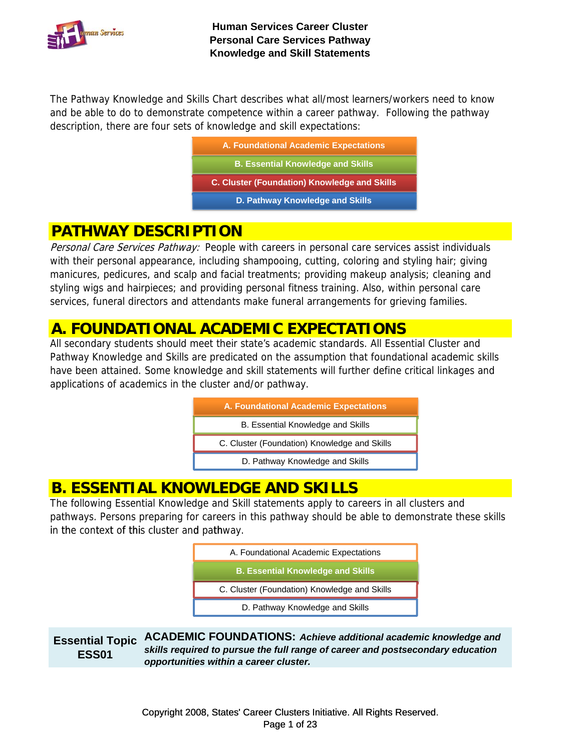

The Pathway Knowledge and Skills Chart describes what all/most learners/workers need to know and be able to do to demonstrate competence within a career pathway. Following the pathway description, there are four sets of knowledge and skill expectations:

| A. Foundational Academic Expectations               |
|-----------------------------------------------------|
| <b>B. Essential Knowledge and Skills</b>            |
| <b>C. Cluster (Foundation) Knowledge and Skills</b> |
| D. Pathway Knowledge and Skills                     |
|                                                     |

### **PATHWAY DESCRIPTION**

Personal Care Services Pathway: People with careers in personal care services assist individuals with their personal appearance, including shampooing, cutting, coloring and styling hair; giving manicures, pedicures, and scalp and facial treatments; providing makeup analysis; cleaning and styling wigs and hairpieces; and providing personal fitness training. Also, within personal care services, funeral directors and attendants make funeral arrangements for grieving families.

### **A. FOUNDATIONAL ACADEMIC EXPECTATIONS**

All secondary students should meet their state's academic standards. All Essential Cluster and Pathway Knowledge and Skills are predicated on the assumption that foundational academic skills have been attained. Some knowledge and skill statements will further define critical linkages and applications of academics in the cluster and/or pathway.

| A. Foundational Academic Expectations        |
|----------------------------------------------|
| B. Essential Knowledge and Skills            |
| C. Cluster (Foundation) Knowledge and Skills |
| D. Pathway Knowledge and Skills              |

## **B. ESSENTIAL KNOWLEDGE AND SKILLS**

The following Essential Knowledge and Skill statements apply to careers in all clusters and pathways. Persons preparing for careers in this pathway should be able to demonstrate these skills in the context of this cluster and pathway.

| A. Foundational Academic Expectations        |  |
|----------------------------------------------|--|
| <b>B. Essential Knowledge and Skills</b>     |  |
| C. Cluster (Foundation) Knowledge and Skills |  |
| D. Pathway Knowledge and Skills              |  |

**Essential Topic ESS01 ACADEMIC FOUNDATIONS:** *Achieve additional academic knowledge and skills required to pursue the full range of career and postsecondary education opportunities within a career cluster.*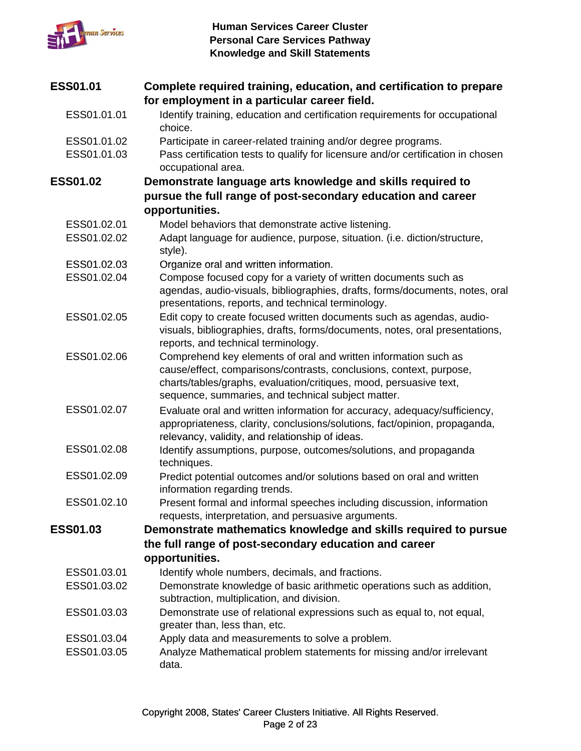

| <b>ESS01.01</b> | Complete required training, education, and certification to prepare                                                                                                                                                                                                |
|-----------------|--------------------------------------------------------------------------------------------------------------------------------------------------------------------------------------------------------------------------------------------------------------------|
|                 | for employment in a particular career field.                                                                                                                                                                                                                       |
| ESS01.01.01     | Identify training, education and certification requirements for occupational<br>choice.                                                                                                                                                                            |
| ESS01.01.02     | Participate in career-related training and/or degree programs.                                                                                                                                                                                                     |
| ESS01.01.03     | Pass certification tests to qualify for licensure and/or certification in chosen<br>occupational area.                                                                                                                                                             |
| <b>ESS01.02</b> | Demonstrate language arts knowledge and skills required to                                                                                                                                                                                                         |
|                 | pursue the full range of post-secondary education and career                                                                                                                                                                                                       |
|                 | opportunities.                                                                                                                                                                                                                                                     |
| ESS01.02.01     | Model behaviors that demonstrate active listening.                                                                                                                                                                                                                 |
| ESS01.02.02     | Adapt language for audience, purpose, situation. (i.e. diction/structure,<br>style).                                                                                                                                                                               |
| ESS01.02.03     | Organize oral and written information.                                                                                                                                                                                                                             |
| ESS01.02.04     | Compose focused copy for a variety of written documents such as<br>agendas, audio-visuals, bibliographies, drafts, forms/documents, notes, oral<br>presentations, reports, and technical terminology.                                                              |
| ESS01.02.05     | Edit copy to create focused written documents such as agendas, audio-<br>visuals, bibliographies, drafts, forms/documents, notes, oral presentations,<br>reports, and technical terminology.                                                                       |
| ESS01.02.06     | Comprehend key elements of oral and written information such as<br>cause/effect, comparisons/contrasts, conclusions, context, purpose,<br>charts/tables/graphs, evaluation/critiques, mood, persuasive text,<br>sequence, summaries, and technical subject matter. |
| ESS01.02.07     | Evaluate oral and written information for accuracy, adequacy/sufficiency,<br>appropriateness, clarity, conclusions/solutions, fact/opinion, propaganda,<br>relevancy, validity, and relationship of ideas.                                                         |
| ESS01.02.08     | Identify assumptions, purpose, outcomes/solutions, and propaganda<br>techniques.                                                                                                                                                                                   |
| ESS01.02.09     | Predict potential outcomes and/or solutions based on oral and written<br>information regarding trends.                                                                                                                                                             |
| ESS01.02.10     | Present formal and informal speeches including discussion, information<br>requests, interpretation, and persuasive arguments.                                                                                                                                      |
| <b>ESS01.03</b> | Demonstrate mathematics knowledge and skills required to pursue                                                                                                                                                                                                    |
|                 | the full range of post-secondary education and career                                                                                                                                                                                                              |
|                 | opportunities.                                                                                                                                                                                                                                                     |
| ESS01.03.01     | Identify whole numbers, decimals, and fractions.                                                                                                                                                                                                                   |
| ESS01.03.02     | Demonstrate knowledge of basic arithmetic operations such as addition,                                                                                                                                                                                             |
|                 | subtraction, multiplication, and division.                                                                                                                                                                                                                         |
| ESS01.03.03     | Demonstrate use of relational expressions such as equal to, not equal,<br>greater than, less than, etc.                                                                                                                                                            |
| ESS01.03.04     | Apply data and measurements to solve a problem.                                                                                                                                                                                                                    |
| ESS01.03.05     | Analyze Mathematical problem statements for missing and/or irrelevant<br>data.                                                                                                                                                                                     |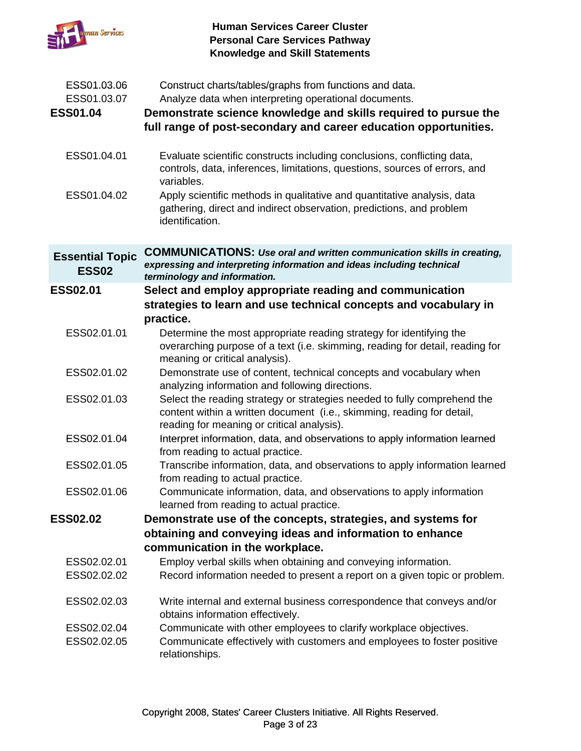

| ESS01.03.06<br>ESS01.03.07             | Construct charts/tables/graphs from functions and data.<br>Analyze data when interpreting operational documents.                                                                                 |
|----------------------------------------|--------------------------------------------------------------------------------------------------------------------------------------------------------------------------------------------------|
| <b>ESS01.04</b>                        | Demonstrate science knowledge and skills required to pursue the<br>full range of post-secondary and career education opportunities.                                                              |
| ESS01.04.01                            | Evaluate scientific constructs including conclusions, conflicting data,<br>controls, data, inferences, limitations, questions, sources of errors, and<br>variables.                              |
| ESS01.04.02                            | Apply scientific methods in qualitative and quantitative analysis, data<br>gathering, direct and indirect observation, predictions, and problem<br>identification.                               |
| <b>Essential Topic</b><br><b>ESS02</b> | <b>COMMUNICATIONS: Use oral and written communication skills in creating,</b><br>expressing and interpreting information and ideas including technical<br>terminology and information.           |
| <b>ESS02.01</b>                        | Select and employ appropriate reading and communication<br>strategies to learn and use technical concepts and vocabulary in<br>practice.                                                         |
| ESS02.01.01                            | Determine the most appropriate reading strategy for identifying the<br>overarching purpose of a text (i.e. skimming, reading for detail, reading for<br>meaning or critical analysis).           |
| ESS02.01.02                            | Demonstrate use of content, technical concepts and vocabulary when<br>analyzing information and following directions.                                                                            |
| ESS02.01.03                            | Select the reading strategy or strategies needed to fully comprehend the<br>content within a written document (i.e., skimming, reading for detail,<br>reading for meaning or critical analysis). |
| ESS02.01.04                            | Interpret information, data, and observations to apply information learned<br>from reading to actual practice.                                                                                   |
| ESS02.01.05                            | Transcribe information, data, and observations to apply information learned<br>from reading to actual practice.                                                                                  |
| ESS02.01.06                            | Communicate information, data, and observations to apply information<br>learned from reading to actual practice.                                                                                 |
| <b>ESS02.02</b>                        | Demonstrate use of the concepts, strategies, and systems for                                                                                                                                     |
|                                        | obtaining and conveying ideas and information to enhance                                                                                                                                         |
|                                        | communication in the workplace.                                                                                                                                                                  |
| ESS02.02.01<br>ESS02.02.02             | Employ verbal skills when obtaining and conveying information.<br>Record information needed to present a report on a given topic or problem.                                                     |
| ESS02.02.03                            | Write internal and external business correspondence that conveys and/or<br>obtains information effectively.                                                                                      |
| ESS02.02.04<br>ESS02.02.05             | Communicate with other employees to clarify workplace objectives.<br>Communicate effectively with customers and employees to foster positive<br>relationships.                                   |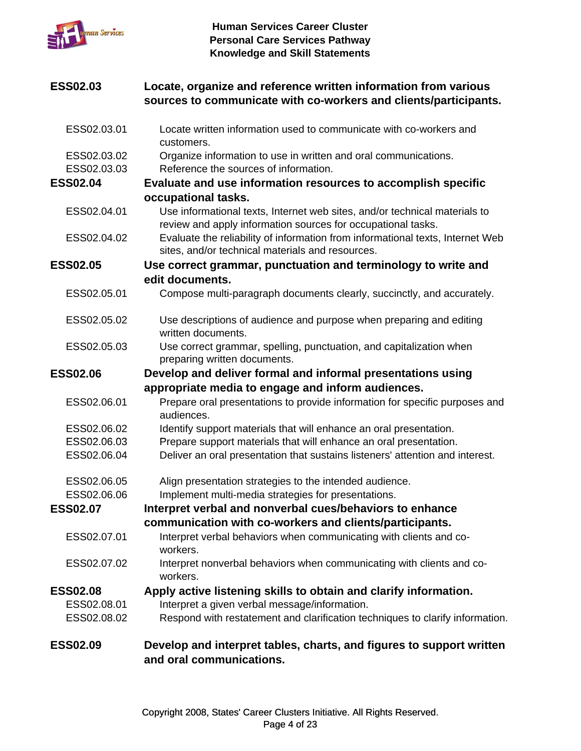

### **ESS02.03** Locate, organize and reference written information from various **sources to communicate with co-workers and clients/participants.**

| <b>ESS02.09</b> | Develop and interpret tables, charts, and figures to support written<br>and oral communications.                                               |
|-----------------|------------------------------------------------------------------------------------------------------------------------------------------------|
| ESS02.08.02     | Respond with restatement and clarification techniques to clarify information.                                                                  |
| ESS02.08.01     | Interpret a given verbal message/information.                                                                                                  |
| <b>ESS02.08</b> | Apply active listening skills to obtain and clarify information.                                                                               |
| ESS02.07.02     | Interpret nonverbal behaviors when communicating with clients and co-<br>workers.                                                              |
| ESS02.07.01     | Interpret verbal behaviors when communicating with clients and co-<br>workers.                                                                 |
|                 | communication with co-workers and clients/participants.                                                                                        |
| <b>ESS02.07</b> | Interpret verbal and nonverbal cues/behaviors to enhance                                                                                       |
| ESS02.06.06     | Implement multi-media strategies for presentations.                                                                                            |
| ESS02.06.05     | Align presentation strategies to the intended audience.                                                                                        |
| ESS02.06.04     | Deliver an oral presentation that sustains listeners' attention and interest.                                                                  |
| ESS02.06.03     | Prepare support materials that will enhance an oral presentation.                                                                              |
| ESS02.06.02     | audiences.<br>Identify support materials that will enhance an oral presentation.                                                               |
| ESS02.06.01     | appropriate media to engage and inform audiences.<br>Prepare oral presentations to provide information for specific purposes and               |
| <b>ESS02.06</b> | Develop and deliver formal and informal presentations using                                                                                    |
|                 | preparing written documents.                                                                                                                   |
| ESS02.05.03     | written documents.<br>Use correct grammar, spelling, punctuation, and capitalization when                                                      |
| ESS02.05.02     | Use descriptions of audience and purpose when preparing and editing                                                                            |
| ESS02.05.01     | Compose multi-paragraph documents clearly, succinctly, and accurately.                                                                         |
|                 | edit documents.                                                                                                                                |
| <b>ESS02.05</b> | sites, and/or technical materials and resources.<br>Use correct grammar, punctuation and terminology to write and                              |
| ESS02.04.02     | review and apply information sources for occupational tasks.<br>Evaluate the reliability of information from informational texts, Internet Web |
| ESS02.04.01     | Use informational texts, Internet web sites, and/or technical materials to                                                                     |
|                 | occupational tasks.                                                                                                                            |
| <b>ESS02.04</b> | Evaluate and use information resources to accomplish specific                                                                                  |
| ESS02.03.03     | Reference the sources of information.                                                                                                          |
| ESS02.03.02     | Organize information to use in written and oral communications.                                                                                |
| ESS02.03.01     | Locate written information used to communicate with co-workers and<br>customers.                                                               |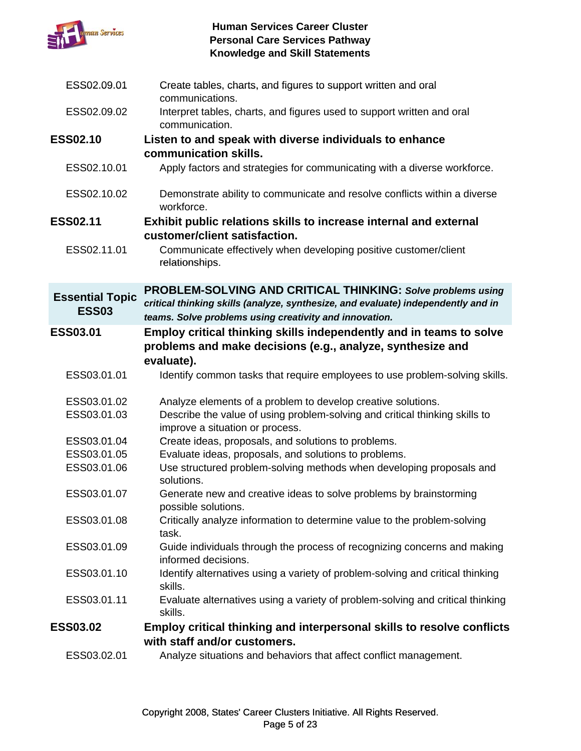

| ESS02.09.01                            | Create tables, charts, and figures to support written and oral<br>communications.                                                                                                                                 |
|----------------------------------------|-------------------------------------------------------------------------------------------------------------------------------------------------------------------------------------------------------------------|
| ESS02.09.02                            | Interpret tables, charts, and figures used to support written and oral<br>communication.                                                                                                                          |
| <b>ESS02.10</b>                        | Listen to and speak with diverse individuals to enhance                                                                                                                                                           |
|                                        | communication skills.                                                                                                                                                                                             |
| ESS02.10.01                            | Apply factors and strategies for communicating with a diverse workforce.                                                                                                                                          |
| ESS02.10.02                            | Demonstrate ability to communicate and resolve conflicts within a diverse<br>workforce.                                                                                                                           |
| <b>ESS02.11</b>                        | Exhibit public relations skills to increase internal and external                                                                                                                                                 |
|                                        | customer/client satisfaction.                                                                                                                                                                                     |
| ESS02.11.01                            | Communicate effectively when developing positive customer/client<br>relationships.                                                                                                                                |
| <b>Essential Topic</b><br><b>ESS03</b> | <b>PROBLEM-SOLVING AND CRITICAL THINKING: Solve problems using</b><br>critical thinking skills (analyze, synthesize, and evaluate) independently and in<br>teams. Solve problems using creativity and innovation. |
| ESS03.01                               | Employ critical thinking skills independently and in teams to solve<br>problems and make decisions (e.g., analyze, synthesize and<br>evaluate).                                                                   |
| ESS03.01.01                            | Identify common tasks that require employees to use problem-solving skills.                                                                                                                                       |
| ESS03.01.02                            | Analyze elements of a problem to develop creative solutions.                                                                                                                                                      |
| ESS03.01.03                            | Describe the value of using problem-solving and critical thinking skills to<br>improve a situation or process.                                                                                                    |
| ESS03.01.04                            | Create ideas, proposals, and solutions to problems.                                                                                                                                                               |
| ESS03.01.05                            | Evaluate ideas, proposals, and solutions to problems.                                                                                                                                                             |
| ESS03.01.06                            | Use structured problem-solving methods when developing proposals and<br>solutions.                                                                                                                                |
| ESS03.01.07                            | Generate new and creative ideas to solve problems by brainstorming<br>possible solutions.                                                                                                                         |
| ESS03.01.08                            | Critically analyze information to determine value to the problem-solving<br>task.                                                                                                                                 |
| ESS03.01.09                            | Guide individuals through the process of recognizing concerns and making<br>informed decisions.                                                                                                                   |
| ESS03.01.10                            | Identify alternatives using a variety of problem-solving and critical thinking<br>skills.                                                                                                                         |
| ESS03.01.11                            | Evaluate alternatives using a variety of problem-solving and critical thinking<br>skills.                                                                                                                         |
| <b>ESS03.02</b>                        | Employ critical thinking and interpersonal skills to resolve conflicts                                                                                                                                            |
|                                        | with staff and/or customers.                                                                                                                                                                                      |
| ESS03.02.01                            | Analyze situations and behaviors that affect conflict management.                                                                                                                                                 |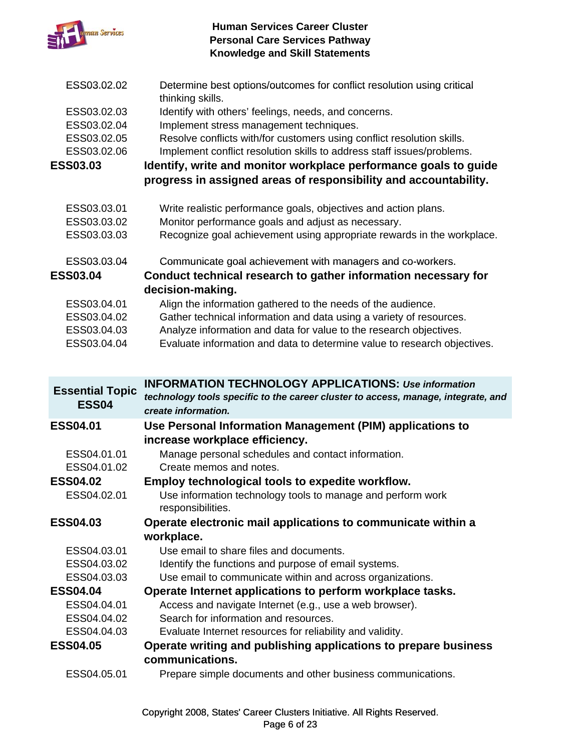

- ESS03.02.02 Determine best options/outcomes for conflict resolution using critical thinking skills.
- ESS03.02.03 Identify with others' feelings, needs, and concerns.
- ESS03.02.04 Implement stress management techniques.
- ESS03.02.05 Resolve conflicts with/for customers using conflict resolution skills.
- ESS03.02.06 Implement conflict resolution skills to address staff issues/problems.

**ESS03.03 Identify, write and monitor workplace performance goals to guide**  progress in assigned areas of responsibility and accountability.

- ESS03.03.01 Write realistic performance goals, objectives and action plans.
- ESS03.03.02 Monitor performance goals and adjust as necessary.
- ESS03.03.03 Recognize goal achievement using appropriate rewards in the workplace.
- ESS03.03.04 Communicate goal achievement with managers and co-workers.

### **ESS03.04 Conduct technical research to gather information necessary for decision-making.**

- ESS03.04.01 Align the information gathered to the needs of the audience.
- ESS03.04.02 Gather technical information and data using a variety of resources.
- ESS03.04.03 Analyze information and data for value to the research objectives.
- ESS03.04.04 Evaluate information and data to determine value to research objectives.

| <b>Essential Topic</b><br><b>ESS04</b> | <b>INFORMATION TECHNOLOGY APPLICATIONS: Use information</b><br>technology tools specific to the career cluster to access, manage, integrate, and<br>create information. |
|----------------------------------------|-------------------------------------------------------------------------------------------------------------------------------------------------------------------------|
| <b>ESS04.01</b>                        | Use Personal Information Management (PIM) applications to                                                                                                               |
|                                        | increase workplace efficiency.                                                                                                                                          |
| ESS04.01.01                            | Manage personal schedules and contact information.                                                                                                                      |
| ESS04.01.02                            | Create memos and notes.                                                                                                                                                 |
| <b>ESS04.02</b>                        | Employ technological tools to expedite workflow.                                                                                                                        |
| ESS04.02.01                            | Use information technology tools to manage and perform work<br>responsibilities.                                                                                        |
| <b>ESS04.03</b>                        | Operate electronic mail applications to communicate within a                                                                                                            |
|                                        | workplace.                                                                                                                                                              |
| ESS04.03.01                            | Use email to share files and documents.                                                                                                                                 |
| ESS04.03.02                            | Identify the functions and purpose of email systems.                                                                                                                    |
| ESS04.03.03                            | Use email to communicate within and across organizations.                                                                                                               |
| <b>ESS04.04</b>                        | Operate Internet applications to perform workplace tasks.                                                                                                               |
| ESS04.04.01                            | Access and navigate Internet (e.g., use a web browser).                                                                                                                 |
| ESS04.04.02                            | Search for information and resources.                                                                                                                                   |
| ESS04.04.03                            | Evaluate Internet resources for reliability and validity.                                                                                                               |
| <b>ESS04.05</b>                        | Operate writing and publishing applications to prepare business                                                                                                         |
|                                        | communications.                                                                                                                                                         |
| ESS04.05.01                            | Prepare simple documents and other business communications.                                                                                                             |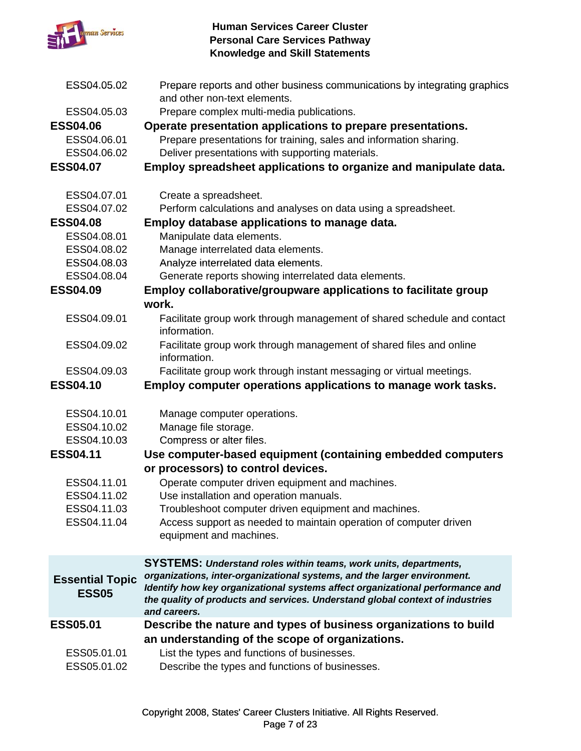

| ESS04.05.02                            | Prepare reports and other business communications by integrating graphics<br>and other non-text elements.                                                                                                                                                  |
|----------------------------------------|------------------------------------------------------------------------------------------------------------------------------------------------------------------------------------------------------------------------------------------------------------|
| ESS04.05.03                            | Prepare complex multi-media publications.                                                                                                                                                                                                                  |
| <b>ESS04.06</b>                        | Operate presentation applications to prepare presentations.                                                                                                                                                                                                |
| ESS04.06.01                            | Prepare presentations for training, sales and information sharing.                                                                                                                                                                                         |
| ESS04.06.02                            | Deliver presentations with supporting materials.                                                                                                                                                                                                           |
| <b>ESS04.07</b>                        | Employ spreadsheet applications to organize and manipulate data.                                                                                                                                                                                           |
| ESS04.07.01                            | Create a spreadsheet.                                                                                                                                                                                                                                      |
| ESS04.07.02                            | Perform calculations and analyses on data using a spreadsheet.                                                                                                                                                                                             |
| <b>ESS04.08</b>                        | Employ database applications to manage data.                                                                                                                                                                                                               |
| ESS04.08.01                            | Manipulate data elements.                                                                                                                                                                                                                                  |
| ESS04.08.02                            | Manage interrelated data elements.                                                                                                                                                                                                                         |
| ESS04.08.03                            | Analyze interrelated data elements.                                                                                                                                                                                                                        |
| ESS04.08.04                            | Generate reports showing interrelated data elements.                                                                                                                                                                                                       |
| <b>ESS04.09</b>                        | Employ collaborative/groupware applications to facilitate group                                                                                                                                                                                            |
|                                        | work.                                                                                                                                                                                                                                                      |
| ESS04.09.01                            | Facilitate group work through management of shared schedule and contact<br>information.                                                                                                                                                                    |
| ESS04.09.02                            | Facilitate group work through management of shared files and online<br>information.                                                                                                                                                                        |
| ESS04.09.03                            | Facilitate group work through instant messaging or virtual meetings.                                                                                                                                                                                       |
| <b>ESS04.10</b>                        | Employ computer operations applications to manage work tasks.                                                                                                                                                                                              |
| ESS04.10.01                            | Manage computer operations.                                                                                                                                                                                                                                |
| ESS04.10.02                            | Manage file storage.                                                                                                                                                                                                                                       |
| ESS04.10.03                            | Compress or alter files.                                                                                                                                                                                                                                   |
| <b>ESS04.11</b>                        | Use computer-based equipment (containing embedded computers<br>or processors) to control devices.                                                                                                                                                          |
| ESS04.11.01                            | Operate computer driven equipment and machines.                                                                                                                                                                                                            |
| ESS04.11.02                            | Use installation and operation manuals.                                                                                                                                                                                                                    |
| ESS04.11.03                            | Troubleshoot computer driven equipment and machines.                                                                                                                                                                                                       |
| ESS04.11.04                            | Access support as needed to maintain operation of computer driven                                                                                                                                                                                          |
|                                        | equipment and machines.                                                                                                                                                                                                                                    |
|                                        | <b>SYSTEMS: Understand roles within teams, work units, departments,</b>                                                                                                                                                                                    |
| <b>Essential Topic</b><br><b>ESS05</b> | organizations, inter-organizational systems, and the larger environment.<br>Identify how key organizational systems affect organizational performance and<br>the quality of products and services. Understand global context of industries<br>and careers. |
| <b>ESS05.01</b>                        | Describe the nature and types of business organizations to build                                                                                                                                                                                           |
|                                        | an understanding of the scope of organizations.                                                                                                                                                                                                            |
| ESS05.01.01                            | List the types and functions of businesses.                                                                                                                                                                                                                |
| ESS05.01.02                            | Describe the types and functions of businesses.                                                                                                                                                                                                            |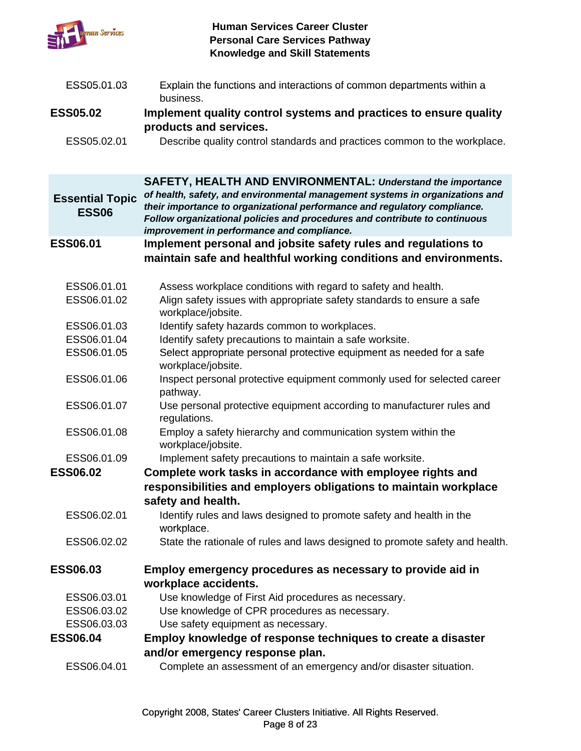

| ESS05.01.03                            | Explain the functions and interactions of common departments within a<br>business.                                                                                                                                                                                                    |
|----------------------------------------|---------------------------------------------------------------------------------------------------------------------------------------------------------------------------------------------------------------------------------------------------------------------------------------|
| <b>ESS05.02</b>                        | Implement quality control systems and practices to ensure quality                                                                                                                                                                                                                     |
|                                        | products and services.                                                                                                                                                                                                                                                                |
| ESS05.02.01                            | Describe quality control standards and practices common to the workplace.                                                                                                                                                                                                             |
|                                        | <b>SAFETY, HEALTH AND ENVIRONMENTAL: Understand the importance</b>                                                                                                                                                                                                                    |
| <b>Essential Topic</b><br><b>ESS06</b> | of health, safety, and environmental management systems in organizations and<br>their importance to organizational performance and regulatory compliance.<br>Follow organizational policies and procedures and contribute to continuous<br>improvement in performance and compliance. |
| <b>ESS06.01</b>                        | Implement personal and jobsite safety rules and regulations to                                                                                                                                                                                                                        |
|                                        | maintain safe and healthful working conditions and environments.                                                                                                                                                                                                                      |
|                                        |                                                                                                                                                                                                                                                                                       |
| ESS06.01.01<br>ESS06.01.02             | Assess workplace conditions with regard to safety and health.<br>Align safety issues with appropriate safety standards to ensure a safe<br>workplace/jobsite.                                                                                                                         |
| ESS06.01.03                            | Identify safety hazards common to workplaces.                                                                                                                                                                                                                                         |
| ESS06.01.04                            | Identify safety precautions to maintain a safe worksite.                                                                                                                                                                                                                              |
| ESS06.01.05                            | Select appropriate personal protective equipment as needed for a safe<br>workplace/jobsite.                                                                                                                                                                                           |
| ESS06.01.06                            | Inspect personal protective equipment commonly used for selected career<br>pathway.                                                                                                                                                                                                   |
| ESS06.01.07                            | Use personal protective equipment according to manufacturer rules and<br>regulations.                                                                                                                                                                                                 |
| ESS06.01.08                            | Employ a safety hierarchy and communication system within the<br>workplace/jobsite.                                                                                                                                                                                                   |
| ESS06.01.09                            | Implement safety precautions to maintain a safe worksite.                                                                                                                                                                                                                             |
| <b>ESS06.02</b>                        | Complete work tasks in accordance with employee rights and                                                                                                                                                                                                                            |
|                                        | responsibilities and employers obligations to maintain workplace<br>safety and health.                                                                                                                                                                                                |
| ESS06.02.01                            | Identify rules and laws designed to promote safety and health in the<br>workplace.                                                                                                                                                                                                    |
| ESS06.02.02                            | State the rationale of rules and laws designed to promote safety and health.                                                                                                                                                                                                          |
| <b>ESS06.03</b>                        | Employ emergency procedures as necessary to provide aid in                                                                                                                                                                                                                            |
|                                        | workplace accidents.                                                                                                                                                                                                                                                                  |
| ESS06.03.01                            | Use knowledge of First Aid procedures as necessary.                                                                                                                                                                                                                                   |
| ESS06.03.02                            | Use knowledge of CPR procedures as necessary.                                                                                                                                                                                                                                         |
| ESS06.03.03                            | Use safety equipment as necessary.                                                                                                                                                                                                                                                    |
| <b>ESS06.04</b>                        | Employ knowledge of response techniques to create a disaster                                                                                                                                                                                                                          |
|                                        | and/or emergency response plan.                                                                                                                                                                                                                                                       |
| ESS06.04.01                            | Complete an assessment of an emergency and/or disaster situation.                                                                                                                                                                                                                     |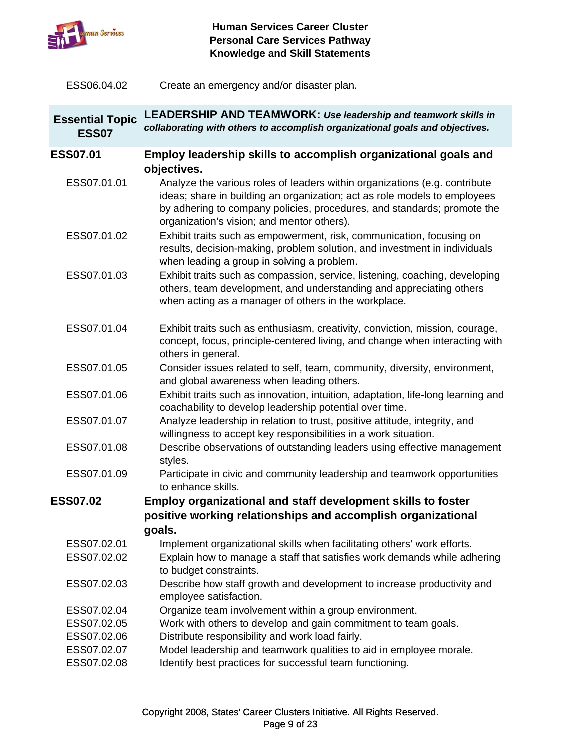

ESS06.04.02 Create an emergency and/or disaster plan. Create an emergency and/or disaster

| <b>Essential Topic</b><br><b>ESS07</b> | <b>LEADERSHIP AND TEAMWORK: Use leadership and teamwork skills in</b><br>collaborating with others to accomplish organizational goals and objectives.                                                                                                                                           |
|----------------------------------------|-------------------------------------------------------------------------------------------------------------------------------------------------------------------------------------------------------------------------------------------------------------------------------------------------|
| <b>ESS07.01</b>                        | Employ leadership skills to accomplish organizational goals and                                                                                                                                                                                                                                 |
| ESS07.01.01                            | objectives.<br>Analyze the various roles of leaders within organizations (e.g. contribute<br>ideas; share in building an organization; act as role models to employees<br>by adhering to company policies, procedures, and standards; promote the<br>organization's vision; and mentor others). |
| ESS07.01.02                            | Exhibit traits such as empowerment, risk, communication, focusing on<br>results, decision-making, problem solution, and investment in individuals<br>when leading a group in solving a problem.                                                                                                 |
| ESS07.01.03                            | Exhibit traits such as compassion, service, listening, coaching, developing<br>others, team development, and understanding and appreciating others<br>when acting as a manager of others in the workplace.                                                                                      |
| ESS07.01.04                            | Exhibit traits such as enthusiasm, creativity, conviction, mission, courage,<br>concept, focus, principle-centered living, and change when interacting with<br>others in general.                                                                                                               |
| ESS07.01.05                            | Consider issues related to self, team, community, diversity, environment,<br>and global awareness when leading others.                                                                                                                                                                          |
| ESS07.01.06                            | Exhibit traits such as innovation, intuition, adaptation, life-long learning and<br>coachability to develop leadership potential over time.                                                                                                                                                     |
| ESS07.01.07                            | Analyze leadership in relation to trust, positive attitude, integrity, and<br>willingness to accept key responsibilities in a work situation.                                                                                                                                                   |
| ESS07.01.08                            | Describe observations of outstanding leaders using effective management<br>styles.                                                                                                                                                                                                              |
| ESS07.01.09                            | Participate in civic and community leadership and teamwork opportunities<br>to enhance skills.                                                                                                                                                                                                  |
| <b>ESS07.02</b>                        | Employ organizational and staff development skills to foster                                                                                                                                                                                                                                    |
|                                        | positive working relationships and accomplish organizational<br>goals.                                                                                                                                                                                                                          |
| ESS07.02.01                            | Implement organizational skills when facilitating others' work efforts.                                                                                                                                                                                                                         |
| ESS07.02.02                            | Explain how to manage a staff that satisfies work demands while adhering<br>to budget constraints.                                                                                                                                                                                              |
| ESS07.02.03                            | Describe how staff growth and development to increase productivity and<br>employee satisfaction.                                                                                                                                                                                                |
| ESS07.02.04                            | Organize team involvement within a group environment.                                                                                                                                                                                                                                           |
| ESS07.02.05<br>ESS07.02.06             | Work with others to develop and gain commitment to team goals.<br>Distribute responsibility and work load fairly.                                                                                                                                                                               |
| ESS07.02.07                            | Model leadership and teamwork qualities to aid in employee morale.                                                                                                                                                                                                                              |
| ESS07.02.08                            | Identify best practices for successful team functioning.                                                                                                                                                                                                                                        |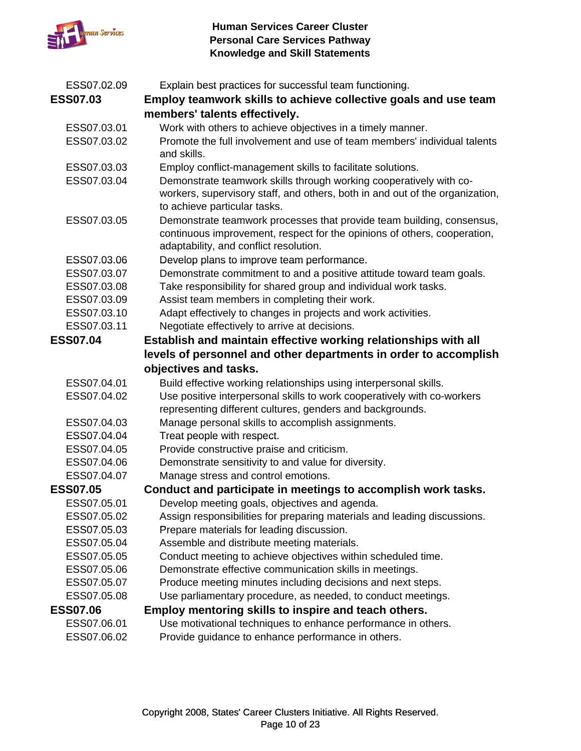

| ESS07.02.09     | Explain best practices for successful team functioning.                      |
|-----------------|------------------------------------------------------------------------------|
| <b>ESS07.03</b> | Employ teamwork skills to achieve collective goals and use team              |
|                 | members' talents effectively.                                                |
| ESS07.03.01     | Work with others to achieve objectives in a timely manner.                   |
| ESS07.03.02     | Promote the full involvement and use of team members' individual talents     |
|                 | and skills.                                                                  |
| ESS07.03.03     | Employ conflict-management skills to facilitate solutions.                   |
| ESS07.03.04     | Demonstrate teamwork skills through working cooperatively with co-           |
|                 | workers, supervisory staff, and others, both in and out of the organization, |
|                 | to achieve particular tasks.                                                 |
| ESS07.03.05     | Demonstrate teamwork processes that provide team building, consensus,        |
|                 | continuous improvement, respect for the opinions of others, cooperation,     |
|                 | adaptability, and conflict resolution.                                       |
| ESS07.03.06     | Develop plans to improve team performance.                                   |
| ESS07.03.07     | Demonstrate commitment to and a positive attitude toward team goals.         |
| ESS07.03.08     | Take responsibility for shared group and individual work tasks.              |
| ESS07.03.09     | Assist team members in completing their work.                                |
| ESS07.03.10     | Adapt effectively to changes in projects and work activities.                |
| ESS07.03.11     | Negotiate effectively to arrive at decisions.                                |
| <b>ESS07.04</b> | Establish and maintain effective working relationships with all              |
|                 | levels of personnel and other departments in order to accomplish             |
|                 | objectives and tasks.                                                        |
| ESS07.04.01     | Build effective working relationships using interpersonal skills.            |
| ESS07.04.02     | Use positive interpersonal skills to work cooperatively with co-workers      |
|                 | representing different cultures, genders and backgrounds.                    |
| ESS07.04.03     | Manage personal skills to accomplish assignments.                            |
| ESS07.04.04     | Treat people with respect.                                                   |
| ESS07.04.05     | Provide constructive praise and criticism.                                   |
| ESS07.04.06     | Demonstrate sensitivity to and value for diversity.                          |
| ESS07.04.07     | Manage stress and control emotions.                                          |
| <b>ESS07.05</b> | Conduct and participate in meetings to accomplish work tasks.                |
| ESS07.05.01     | Develop meeting goals, objectives and agenda.                                |
| ESS07.05.02     | Assign responsibilities for preparing materials and leading discussions.     |
| ESS07.05.03     | Prepare materials for leading discussion.                                    |
| ESS07.05.04     | Assemble and distribute meeting materials.                                   |
| ESS07.05.05     | Conduct meeting to achieve objectives within scheduled time.                 |
| ESS07.05.06     | Demonstrate effective communication skills in meetings.                      |
| ESS07.05.07     | Produce meeting minutes including decisions and next steps.                  |
| ESS07.05.08     | Use parliamentary procedure, as needed, to conduct meetings.                 |
| <b>ESS07.06</b> | Employ mentoring skills to inspire and teach others.                         |
| ESS07.06.01     | Use motivational techniques to enhance performance in others.                |
| ESS07.06.02     | Provide guidance to enhance performance in others.                           |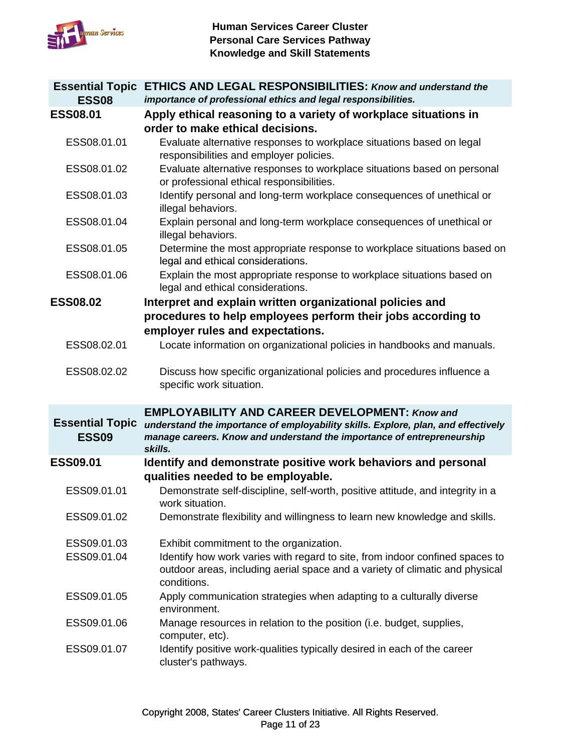

| <b>Essential Topic</b><br><b>ESS08</b> | <b>ETHICS AND LEGAL RESPONSIBILITIES: Know and understand the</b><br>importance of professional ethics and legal responsibilities.                                                                                              |
|----------------------------------------|---------------------------------------------------------------------------------------------------------------------------------------------------------------------------------------------------------------------------------|
| <b>ESS08.01</b>                        | Apply ethical reasoning to a variety of workplace situations in<br>order to make ethical decisions.                                                                                                                             |
| ESS08.01.01                            | Evaluate alternative responses to workplace situations based on legal<br>responsibilities and employer policies.                                                                                                                |
| ESS08.01.02                            | Evaluate alternative responses to workplace situations based on personal<br>or professional ethical responsibilities.                                                                                                           |
| ESS08.01.03                            | Identify personal and long-term workplace consequences of unethical or<br>illegal behaviors.                                                                                                                                    |
| ESS08.01.04                            | Explain personal and long-term workplace consequences of unethical or<br>illegal behaviors.                                                                                                                                     |
| ESS08.01.05                            | Determine the most appropriate response to workplace situations based on<br>legal and ethical considerations.                                                                                                                   |
| ESS08.01.06                            | Explain the most appropriate response to workplace situations based on<br>legal and ethical considerations.                                                                                                                     |
| <b>ESS08.02</b>                        | Interpret and explain written organizational policies and<br>procedures to help employees perform their jobs according to<br>employer rules and expectations.                                                                   |
| ESS08.02.01                            | Locate information on organizational policies in handbooks and manuals.                                                                                                                                                         |
| ESS08.02.02                            | Discuss how specific organizational policies and procedures influence a<br>specific work situation.                                                                                                                             |
| <b>Essential Topic</b><br><b>ESS09</b> | <b>EMPLOYABILITY AND CAREER DEVELOPMENT: Know and</b><br>understand the importance of employability skills. Explore, plan, and effectively<br>manage careers. Know and understand the importance of entrepreneurship<br>skills. |
| <b>ESS09.01</b>                        | Identify and demonstrate positive work behaviors and personal<br>qualities needed to be employable.                                                                                                                             |
| ESS09.01.01                            | Demonstrate self-discipline, self-worth, positive attitude, and integrity in a<br>work situation.                                                                                                                               |
| ESS09.01.02                            | Demonstrate flexibility and willingness to learn new knowledge and skills.                                                                                                                                                      |
| ESS09.01.03<br>ESS09.01.04             | Exhibit commitment to the organization.<br>Identify how work varies with regard to site, from indoor confined spaces to<br>outdoor areas, including aerial space and a variety of climatic and physical                         |
|                                        | conditions.                                                                                                                                                                                                                     |
| ESS09.01.05                            | Apply communication strategies when adapting to a culturally diverse<br>environment.                                                                                                                                            |
| ESS09.01.06<br>ESS09.01.07             | Manage resources in relation to the position (i.e. budget, supplies,<br>computer, etc).<br>Identify positive work-qualities typically desired in each of the career                                                             |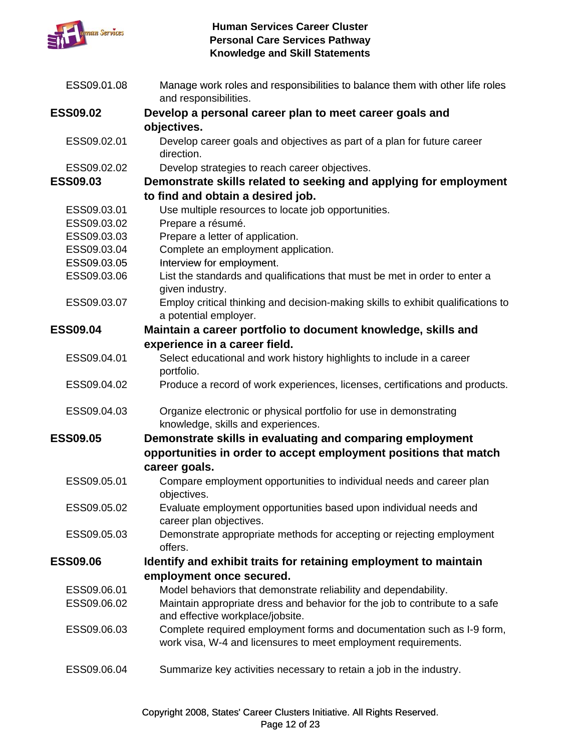

| ESS09.01.08     | Manage work roles and responsibilities to balance them with other life roles<br>and responsibilities.                                    |
|-----------------|------------------------------------------------------------------------------------------------------------------------------------------|
| <b>ESS09.02</b> | Develop a personal career plan to meet career goals and                                                                                  |
|                 | objectives.                                                                                                                              |
| ESS09.02.01     | Develop career goals and objectives as part of a plan for future career<br>direction.                                                    |
| ESS09.02.02     | Develop strategies to reach career objectives.                                                                                           |
| <b>ESS09.03</b> | Demonstrate skills related to seeking and applying for employment                                                                        |
|                 | to find and obtain a desired job.                                                                                                        |
| ESS09.03.01     | Use multiple resources to locate job opportunities.                                                                                      |
| ESS09.03.02     | Prepare a résumé.                                                                                                                        |
| ESS09.03.03     | Prepare a letter of application.                                                                                                         |
| ESS09.03.04     | Complete an employment application.                                                                                                      |
| ESS09.03.05     | Interview for employment.                                                                                                                |
| ESS09.03.06     | List the standards and qualifications that must be met in order to enter a<br>given industry.                                            |
| ESS09.03.07     | Employ critical thinking and decision-making skills to exhibit qualifications to<br>a potential employer.                                |
| <b>ESS09.04</b> | Maintain a career portfolio to document knowledge, skills and                                                                            |
|                 | experience in a career field.                                                                                                            |
| ESS09.04.01     | Select educational and work history highlights to include in a career<br>portfolio.                                                      |
| ESS09.04.02     | Produce a record of work experiences, licenses, certifications and products.                                                             |
| ESS09.04.03     | Organize electronic or physical portfolio for use in demonstrating<br>knowledge, skills and experiences.                                 |
| <b>ESS09.05</b> | Demonstrate skills in evaluating and comparing employment                                                                                |
|                 | opportunities in order to accept employment positions that match                                                                         |
|                 | career goals.                                                                                                                            |
| ESS09.05.01     | Compare employment opportunities to individual needs and career plan<br>objectives.                                                      |
| ESS09.05.02     | Evaluate employment opportunities based upon individual needs and<br>career plan objectives.                                             |
| ESS09.05.03     | Demonstrate appropriate methods for accepting or rejecting employment<br>offers.                                                         |
| <b>ESS09.06</b> | Identify and exhibit traits for retaining employment to maintain                                                                         |
|                 | employment once secured.                                                                                                                 |
| ESS09.06.01     | Model behaviors that demonstrate reliability and dependability.                                                                          |
| ESS09.06.02     | Maintain appropriate dress and behavior for the job to contribute to a safe<br>and effective workplace/jobsite.                          |
| ESS09.06.03     | Complete required employment forms and documentation such as I-9 form,<br>work visa, W-4 and licensures to meet employment requirements. |
| ESS09.06.04     | Summarize key activities necessary to retain a job in the industry.                                                                      |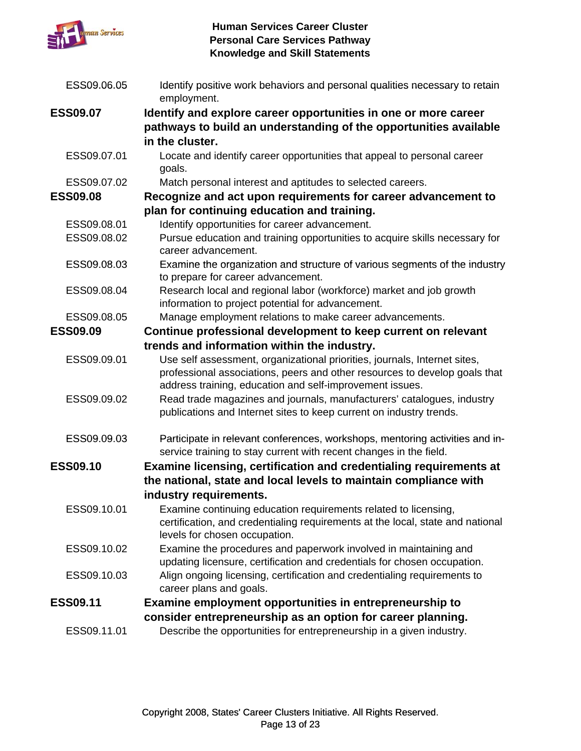

| ESS09.06.05     | Identify positive work behaviors and personal qualities necessary to retain<br>employment.                                                                                                                          |
|-----------------|---------------------------------------------------------------------------------------------------------------------------------------------------------------------------------------------------------------------|
| <b>ESS09.07</b> | Identify and explore career opportunities in one or more career                                                                                                                                                     |
|                 | pathways to build an understanding of the opportunities available                                                                                                                                                   |
|                 | in the cluster.                                                                                                                                                                                                     |
| ESS09.07.01     | Locate and identify career opportunities that appeal to personal career<br>goals.                                                                                                                                   |
| ESS09.07.02     | Match personal interest and aptitudes to selected careers.                                                                                                                                                          |
| <b>ESS09.08</b> | Recognize and act upon requirements for career advancement to                                                                                                                                                       |
|                 | plan for continuing education and training.                                                                                                                                                                         |
| ESS09.08.01     | Identify opportunities for career advancement.                                                                                                                                                                      |
| ESS09.08.02     | Pursue education and training opportunities to acquire skills necessary for<br>career advancement.                                                                                                                  |
| ESS09.08.03     | Examine the organization and structure of various segments of the industry<br>to prepare for career advancement.                                                                                                    |
| ESS09.08.04     | Research local and regional labor (workforce) market and job growth<br>information to project potential for advancement.                                                                                            |
| ESS09.08.05     | Manage employment relations to make career advancements.                                                                                                                                                            |
| <b>ESS09.09</b> | Continue professional development to keep current on relevant                                                                                                                                                       |
|                 | trends and information within the industry.                                                                                                                                                                         |
| ESS09.09.01     | Use self assessment, organizational priorities, journals, Internet sites,<br>professional associations, peers and other resources to develop goals that<br>address training, education and self-improvement issues. |
| ESS09.09.02     | Read trade magazines and journals, manufacturers' catalogues, industry<br>publications and Internet sites to keep current on industry trends.                                                                       |
| ESS09.09.03     | Participate in relevant conferences, workshops, mentoring activities and in-<br>service training to stay current with recent changes in the field.                                                                  |
| <b>ESS09.10</b> | Examine licensing, certification and credentialing requirements at                                                                                                                                                  |
|                 | the national, state and local levels to maintain compliance with                                                                                                                                                    |
|                 | industry requirements.                                                                                                                                                                                              |
| ESS09.10.01     | Examine continuing education requirements related to licensing,<br>certification, and credentialing requirements at the local, state and national<br>levels for chosen occupation.                                  |
| ESS09.10.02     | Examine the procedures and paperwork involved in maintaining and<br>updating licensure, certification and credentials for chosen occupation.                                                                        |
| ESS09.10.03     | Align ongoing licensing, certification and credentialing requirements to<br>career plans and goals.                                                                                                                 |
| <b>ESS09.11</b> | Examine employment opportunities in entrepreneurship to                                                                                                                                                             |
|                 | consider entrepreneurship as an option for career planning.                                                                                                                                                         |
| ESS09.11.01     | Describe the opportunities for entrepreneurship in a given industry.                                                                                                                                                |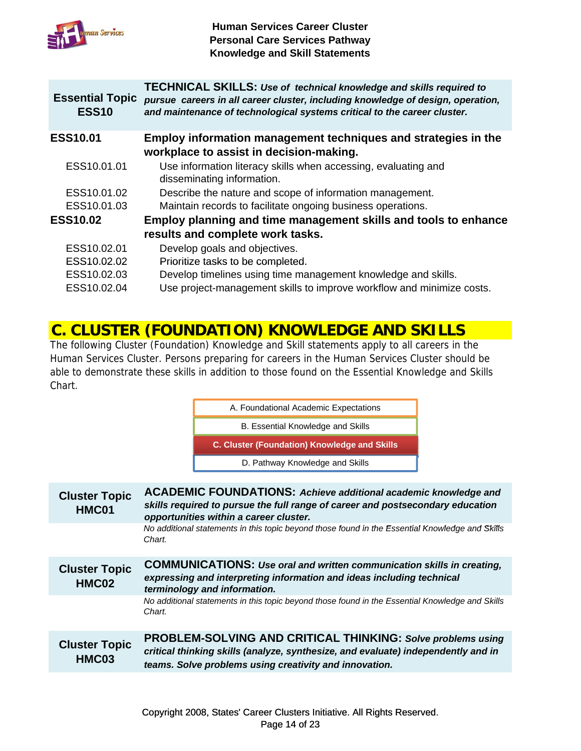

| <b>Essential Topic</b><br><b>ESS10</b> | <b>TECHNICAL SKILLS: Use of technical knowledge and skills required to</b><br>pursue careers in all career cluster, including knowledge of design, operation,<br>and maintenance of technological systems critical to the career cluster. |
|----------------------------------------|-------------------------------------------------------------------------------------------------------------------------------------------------------------------------------------------------------------------------------------------|
| <b>ESS10.01</b>                        | Employ information management techniques and strategies in the<br>workplace to assist in decision-making.                                                                                                                                 |
| ESS10.01.01                            | Use information literacy skills when accessing, evaluating and<br>disseminating information.                                                                                                                                              |
| ESS10.01.02                            | Describe the nature and scope of information management.                                                                                                                                                                                  |
| ESS10.01.03                            | Maintain records to facilitate ongoing business operations.                                                                                                                                                                               |
| <b>ESS10.02</b>                        | Employ planning and time management skills and tools to enhance                                                                                                                                                                           |
|                                        | results and complete work tasks.                                                                                                                                                                                                          |
| ESS10.02.01                            | Develop goals and objectives.                                                                                                                                                                                                             |
| ESS10.02.02                            | Prioritize tasks to be completed.                                                                                                                                                                                                         |
| ESS10.02.03                            | Develop timelines using time management knowledge and skills.                                                                                                                                                                             |
| ESS10.02.04                            | Use project-management skills to improve workflow and minimize costs.                                                                                                                                                                     |
|                                        |                                                                                                                                                                                                                                           |

### **C. CLUSTER (FOUNDATION) KNOWLEDGE AND SKILLS**

The following Cluster (Foundation) Knowledge and Skill statements apply to all careers in the Human Services Cluster. Persons preparing for careers in the Human Services Cluster should be able to demonstrate these skills in addition to those found on the Essential Knowledge and Skills Chart.



| <b>Cluster Topic</b><br>HMC01 | <b>ACADEMIC FOUNDATIONS: Achieve additional academic knowledge and</b><br>skills required to pursue the full range of career and postsecondary education<br>opportunities within a career cluster.                |
|-------------------------------|-------------------------------------------------------------------------------------------------------------------------------------------------------------------------------------------------------------------|
|                               | No additional statements in this topic beyond those found in the Essential Knowledge and Skills<br>Chart.                                                                                                         |
| <b>Cluster Topic</b><br>HMC02 | <b>COMMUNICATIONS: Use oral and written communication skills in creating,</b><br>expressing and interpreting information and ideas including technical<br>terminology and information.                            |
|                               | No additional statements in this topic beyond those found in the Essential Knowledge and Skills<br>Chart.                                                                                                         |
| <b>Cluster Topic</b><br>HMC03 | <b>PROBLEM-SOLVING AND CRITICAL THINKING: Solve problems using</b><br>critical thinking skills (analyze, synthesize, and evaluate) independently and in<br>teams. Solve problems using creativity and innovation. |
|                               |                                                                                                                                                                                                                   |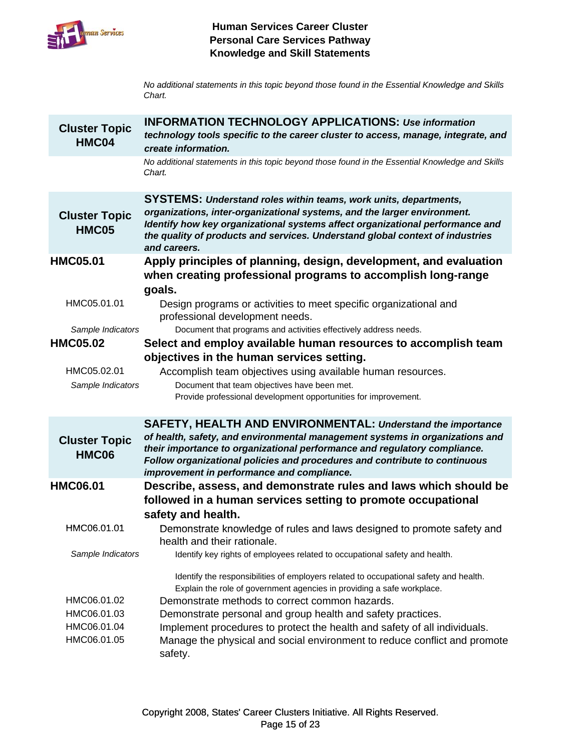

No additional statements in this topic beyond those found in the Essential Knowledge and Skills *Chart.*

| <b>Cluster Topic</b><br>HMC04                            | <b>INFORMATION TECHNOLOGY APPLICATIONS: Use information</b><br>technology tools specific to the career cluster to access, manage, integrate, and<br>create information.                                                                                                                                                                                                                                                                               |
|----------------------------------------------------------|-------------------------------------------------------------------------------------------------------------------------------------------------------------------------------------------------------------------------------------------------------------------------------------------------------------------------------------------------------------------------------------------------------------------------------------------------------|
|                                                          | No additional statements in this topic beyond those found in the Essential Knowledge and Skills<br>Chart.                                                                                                                                                                                                                                                                                                                                             |
| <b>Cluster Topic</b><br><b>HMC05</b>                     | <b>SYSTEMS: Understand roles within teams, work units, departments,</b><br>organizations, inter-organizational systems, and the larger environment.<br>Identify how key organizational systems affect organizational performance and<br>the quality of products and services. Understand global context of industries<br>and careers.                                                                                                                 |
| <b>HMC05.01</b>                                          | Apply principles of planning, design, development, and evaluation<br>when creating professional programs to accomplish long-range<br>goals.                                                                                                                                                                                                                                                                                                           |
| HMC05.01.01                                              | Design programs or activities to meet specific organizational and<br>professional development needs.                                                                                                                                                                                                                                                                                                                                                  |
| Sample Indicators                                        | Document that programs and activities effectively address needs.                                                                                                                                                                                                                                                                                                                                                                                      |
| <b>HMC05.02</b>                                          | Select and employ available human resources to accomplish team                                                                                                                                                                                                                                                                                                                                                                                        |
|                                                          | objectives in the human services setting.                                                                                                                                                                                                                                                                                                                                                                                                             |
| HMC05.02.01                                              | Accomplish team objectives using available human resources.                                                                                                                                                                                                                                                                                                                                                                                           |
| Sample Indicators                                        | Document that team objectives have been met.                                                                                                                                                                                                                                                                                                                                                                                                          |
|                                                          | Provide professional development opportunities for improvement.                                                                                                                                                                                                                                                                                                                                                                                       |
|                                                          |                                                                                                                                                                                                                                                                                                                                                                                                                                                       |
|                                                          | <b>SAFETY, HEALTH AND ENVIRONMENTAL: Understand the importance</b>                                                                                                                                                                                                                                                                                                                                                                                    |
| <b>Cluster Topic</b><br><b>HMC06</b>                     | of health, safety, and environmental management systems in organizations and<br>their importance to organizational performance and regulatory compliance.<br>Follow organizational policies and procedures and contribute to continuous<br>improvement in performance and compliance.                                                                                                                                                                 |
| <b>HMC06.01</b>                                          | Describe, assess, and demonstrate rules and laws which should be                                                                                                                                                                                                                                                                                                                                                                                      |
|                                                          | followed in a human services setting to promote occupational<br>safety and health.                                                                                                                                                                                                                                                                                                                                                                    |
| HMC06.01.01                                              | Demonstrate knowledge of rules and laws designed to promote safety and<br>health and their rationale.                                                                                                                                                                                                                                                                                                                                                 |
| Sample Indicators                                        | Identify key rights of employees related to occupational safety and health.                                                                                                                                                                                                                                                                                                                                                                           |
| HMC06.01.02<br>HMC06.01.03<br>HMC06.01.04<br>HMC06.01.05 | Identify the responsibilities of employers related to occupational safety and health.<br>Explain the role of government agencies in providing a safe workplace.<br>Demonstrate methods to correct common hazards.<br>Demonstrate personal and group health and safety practices.<br>Implement procedures to protect the health and safety of all individuals.<br>Manage the physical and social environment to reduce conflict and promote<br>safety. |
|                                                          |                                                                                                                                                                                                                                                                                                                                                                                                                                                       |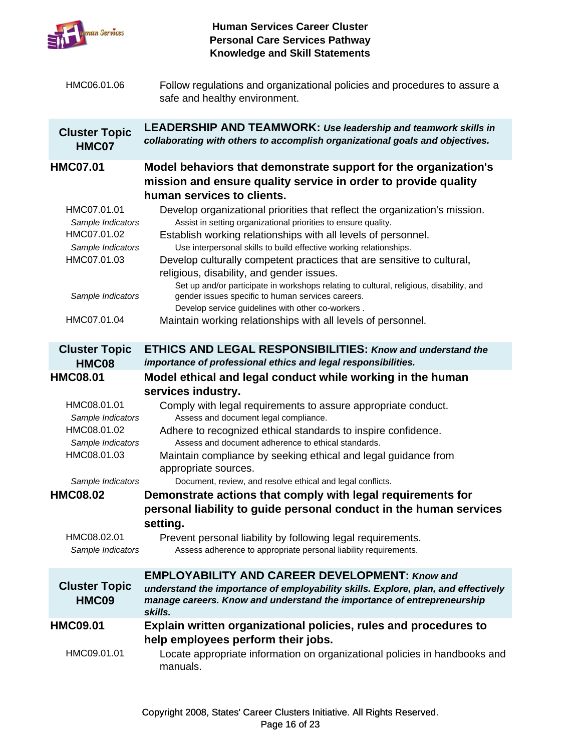

| HMC06.01.06                                     | Follow regulations and organizational policies and procedures to assure a<br>safe and healthy environment.                                                                                                           |
|-------------------------------------------------|----------------------------------------------------------------------------------------------------------------------------------------------------------------------------------------------------------------------|
| <b>Cluster Topic</b><br>HMC07                   | <b>LEADERSHIP AND TEAMWORK: Use leadership and teamwork skills in</b><br>collaborating with others to accomplish organizational goals and objectives.                                                                |
| <b>HMC07.01</b>                                 | Model behaviors that demonstrate support for the organization's<br>mission and ensure quality service in order to provide quality<br>human services to clients.                                                      |
| HMC07.01.01<br>Sample Indicators<br>HMC07.01.02 | Develop organizational priorities that reflect the organization's mission.<br>Assist in setting organizational priorities to ensure quality.<br>Establish working relationships with all levels of personnel.        |
| Sample Indicators                               | Use interpersonal skills to build effective working relationships.                                                                                                                                                   |
| HMC07.01.03                                     | Develop culturally competent practices that are sensitive to cultural,<br>religious, disability, and gender issues.<br>Set up and/or participate in workshops relating to cultural, religious, disability, and       |
| Sample Indicators                               | gender issues specific to human services careers.<br>Develop service guidelines with other co-workers.                                                                                                               |
| HMC07.01.04                                     | Maintain working relationships with all levels of personnel.                                                                                                                                                         |
| <b>Cluster Topic</b><br>HMC08                   | <b>ETHICS AND LEGAL RESPONSIBILITIES: Know and understand the</b><br>importance of professional ethics and legal responsibilities.                                                                                   |
| <b>HMC08.01</b>                                 | Model ethical and legal conduct while working in the human                                                                                                                                                           |
|                                                 | services industry.                                                                                                                                                                                                   |
| HMC08.01.01<br>Sample Indicators                | Comply with legal requirements to assure appropriate conduct.<br>Assess and document legal compliance.                                                                                                               |
| HMC08.01.02                                     | Adhere to recognized ethical standards to inspire confidence.                                                                                                                                                        |
| Sample Indicators<br>HMC08.01.03                | Assess and document adherence to ethical standards.<br>Maintain compliance by seeking ethical and legal guidance from<br>appropriate sources.                                                                        |
| Sample Indicators                               | Document, review, and resolve ethical and legal conflicts.                                                                                                                                                           |
| <b>HMC08.02</b>                                 | Demonstrate actions that comply with legal requirements for<br>personal liability to guide personal conduct in the human services<br>setting.                                                                        |
| HMC08.02.01<br>Sample Indicators                | Prevent personal liability by following legal requirements.<br>Assess adherence to appropriate personal liability requirements.                                                                                      |
| <b>Cluster Topic</b><br>HMC09                   | <b>EMPLOYABILITY AND CAREER DEVELOPMENT: Know and</b><br>understand the importance of employability skills. Explore, plan, and effectively<br>manage careers. Know and understand the importance of entrepreneurship |
|                                                 | skills.                                                                                                                                                                                                              |
| <b>HMC09.01</b>                                 | Explain written organizational policies, rules and procedures to<br>help employees perform their jobs.                                                                                                               |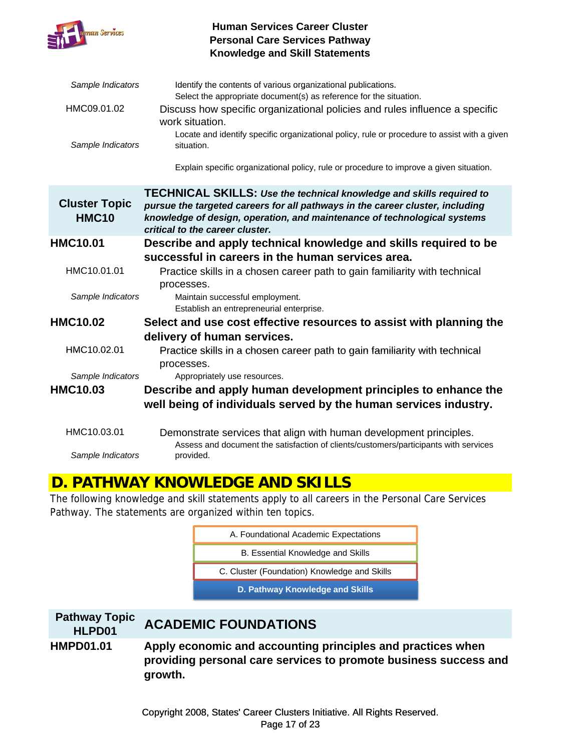

| Sample Indicators                    | Identify the contents of various organizational publications.                                                                                                                                                                                                               |
|--------------------------------------|-----------------------------------------------------------------------------------------------------------------------------------------------------------------------------------------------------------------------------------------------------------------------------|
| HMC09.01.02                          | Select the appropriate document(s) as reference for the situation.<br>Discuss how specific organizational policies and rules influence a specific<br>work situation.                                                                                                        |
| Sample Indicators                    | Locate and identify specific organizational policy, rule or procedure to assist with a given<br>situation.                                                                                                                                                                  |
|                                      | Explain specific organizational policy, rule or procedure to improve a given situation.                                                                                                                                                                                     |
| <b>Cluster Topic</b><br><b>HMC10</b> | <b>TECHNICAL SKILLS: Use the technical knowledge and skills required to</b><br>pursue the targeted careers for all pathways in the career cluster, including<br>knowledge of design, operation, and maintenance of technological systems<br>critical to the career cluster. |
| <b>HMC10.01</b>                      | Describe and apply technical knowledge and skills required to be                                                                                                                                                                                                            |
|                                      | successful in careers in the human services area.                                                                                                                                                                                                                           |
| HMC10.01.01                          | Practice skills in a chosen career path to gain familiarity with technical<br>processes.                                                                                                                                                                                    |
| Sample Indicators                    | Maintain successful employment.<br>Establish an entrepreneurial enterprise.                                                                                                                                                                                                 |
| <b>HMC10.02</b>                      | Select and use cost effective resources to assist with planning the                                                                                                                                                                                                         |
|                                      | delivery of human services.                                                                                                                                                                                                                                                 |
| HMC10.02.01                          | Practice skills in a chosen career path to gain familiarity with technical<br>processes.                                                                                                                                                                                    |
| Sample Indicators                    | Appropriately use resources.                                                                                                                                                                                                                                                |
| <b>HMC10.03</b>                      | Describe and apply human development principles to enhance the                                                                                                                                                                                                              |
|                                      | well being of individuals served by the human services industry.                                                                                                                                                                                                            |
| HMC10.03.01                          | Demonstrate services that align with human development principles.<br>Assess and document the satisfaction of clients/customers/participants with services                                                                                                                  |
| Sample Indicators                    | provided.                                                                                                                                                                                                                                                                   |

### **D. PATHWAY KNOWLEDGE AND SKILLS**

The following knowledge and skill statements apply to all careers in the Personal Care Services Pathway. The statements are organized within ten topics.

| A. Foundational Academic Expectations        |
|----------------------------------------------|
| B. Essential Knowledge and Skills            |
| C. Cluster (Foundation) Knowledge and Skills |
| D. Pathway Knowledge and Skills              |

| <b>Pathway Topic</b><br>HLPD01 | <b>ACADEMIC FOUNDATIONS</b>                                                                                                                |
|--------------------------------|--------------------------------------------------------------------------------------------------------------------------------------------|
| <b>HMPD01.01</b>               | Apply economic and accounting principles and practices when<br>providing personal care services to promote business success and<br>growth. |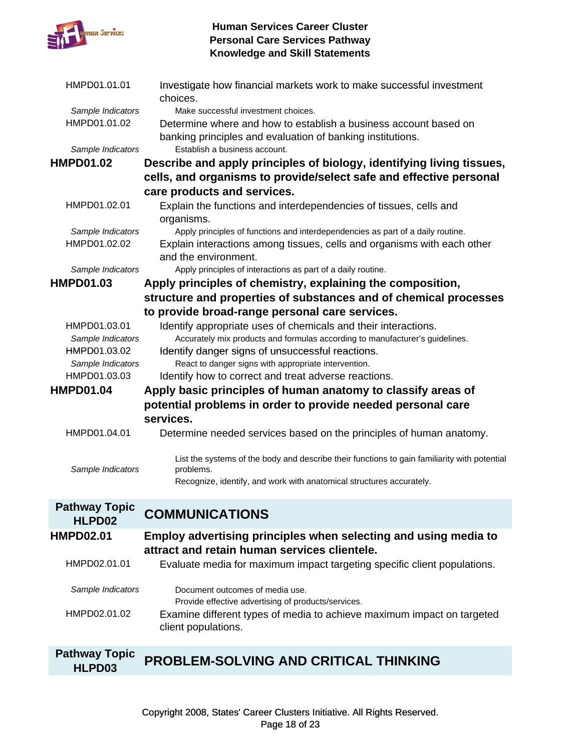

| HMPD01.01.01         | Investigate how financial markets work to make successful investment<br>choices.                                               |
|----------------------|--------------------------------------------------------------------------------------------------------------------------------|
| Sample Indicators    | Make successful investment choices.                                                                                            |
| HMPD01.01.02         | Determine where and how to establish a business account based on<br>banking principles and evaluation of banking institutions. |
| Sample Indicators    | Establish a business account.                                                                                                  |
| <b>HMPD01.02</b>     | Describe and apply principles of biology, identifying living tissues,                                                          |
|                      | cells, and organisms to provide/select safe and effective personal                                                             |
|                      | care products and services.                                                                                                    |
| HMPD01.02.01         | Explain the functions and interdependencies of tissues, cells and<br>organisms.                                                |
| Sample Indicators    | Apply principles of functions and interdependencies as part of a daily routine.                                                |
| HMPD01.02.02         | Explain interactions among tissues, cells and organisms with each other<br>and the environment.                                |
| Sample Indicators    | Apply principles of interactions as part of a daily routine.                                                                   |
| <b>HMPD01.03</b>     | Apply principles of chemistry, explaining the composition,                                                                     |
|                      | structure and properties of substances and of chemical processes                                                               |
|                      | to provide broad-range personal care services.                                                                                 |
| HMPD01.03.01         | Identify appropriate uses of chemicals and their interactions.                                                                 |
| Sample Indicators    | Accurately mix products and formulas according to manufacturer's guidelines.                                                   |
| HMPD01.03.02         | Identify danger signs of unsuccessful reactions.                                                                               |
| Sample Indicators    | React to danger signs with appropriate intervention.                                                                           |
| HMPD01.03.03         | Identify how to correct and treat adverse reactions.                                                                           |
| <b>HMPD01.04</b>     | Apply basic principles of human anatomy to classify areas of                                                                   |
|                      | potential problems in order to provide needed personal care                                                                    |
|                      | services.                                                                                                                      |
| HMPD01.04.01         | Determine needed services based on the principles of human anatomy.                                                            |
|                      |                                                                                                                                |
| Sample Indicators    | List the systems of the body and describe their functions to gain familiarity with potential<br>problems.                      |
|                      | Recognize, identify, and work with anatomical structures accurately.                                                           |
| <b>Pathway Topic</b> |                                                                                                                                |
| HLPD02               | <b>COMMUNICATIONS</b>                                                                                                          |
| <b>HMPD02.01</b>     | Employ advertising principles when selecting and using media to                                                                |
|                      | attract and retain human services clientele.                                                                                   |
| HMPD02.01.01         | Evaluate media for maximum impact targeting specific client populations.                                                       |
| Sample Indicators    | Document outcomes of media use.<br>Provide effective advertising of products/services.                                         |
| HMPD02.01.02         | Examine different types of media to achieve maximum impact on targeted<br>client populations.                                  |
| <b>Dathway Tonic</b> |                                                                                                                                |

#### **Pathway Topic HLPD03 PROBLEM-SOLVING AND CRITICAL THINKING**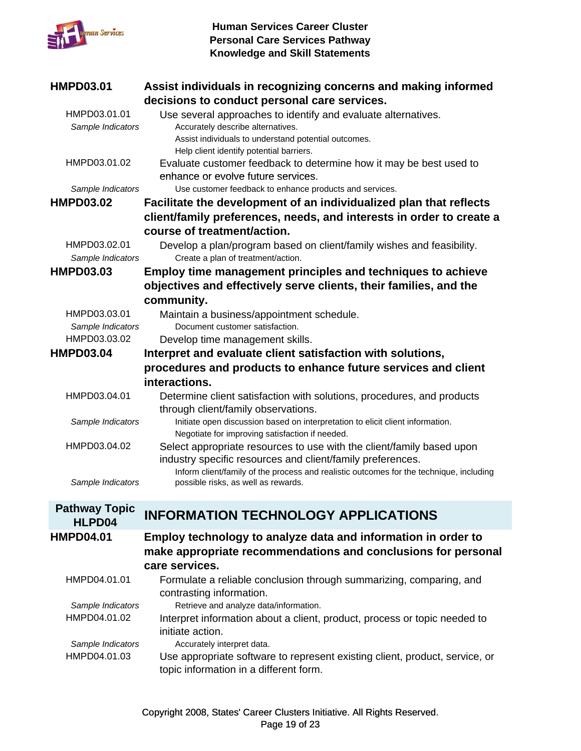

| <b>HMPD03.01</b>                  | Assist individuals in recognizing concerns and making informed<br>decisions to conduct personal care services.                                                                                         |
|-----------------------------------|--------------------------------------------------------------------------------------------------------------------------------------------------------------------------------------------------------|
| HMPD03.01.01<br>Sample Indicators | Use several approaches to identify and evaluate alternatives.<br>Accurately describe alternatives.<br>Assist individuals to understand potential outcomes.<br>Help client identify potential barriers. |
| HMPD03.01.02                      | Evaluate customer feedback to determine how it may be best used to<br>enhance or evolve future services.                                                                                               |
| Sample Indicators                 | Use customer feedback to enhance products and services.                                                                                                                                                |
| <b>HMPD03.02</b>                  | Facilitate the development of an individualized plan that reflects                                                                                                                                     |
|                                   | client/family preferences, needs, and interests in order to create a                                                                                                                                   |
|                                   | course of treatment/action.                                                                                                                                                                            |
| HMPD03.02.01<br>Sample Indicators | Develop a plan/program based on client/family wishes and feasibility.<br>Create a plan of treatment/action.                                                                                            |
| <b>HMPD03.03</b>                  | <b>Employ time management principles and techniques to achieve</b>                                                                                                                                     |
|                                   | objectives and effectively serve clients, their families, and the                                                                                                                                      |
|                                   | community.                                                                                                                                                                                             |
| HMPD03.03.01                      | Maintain a business/appointment schedule.                                                                                                                                                              |
| Sample Indicators                 | Document customer satisfaction.                                                                                                                                                                        |
| HMPD03.03.02                      | Develop time management skills.                                                                                                                                                                        |
| <b>HMPD03.04</b>                  | Interpret and evaluate client satisfaction with solutions,                                                                                                                                             |
|                                   | procedures and products to enhance future services and client                                                                                                                                          |
|                                   | interactions.                                                                                                                                                                                          |
| HMPD03.04.01                      | Determine client satisfaction with solutions, procedures, and products<br>through client/family observations.                                                                                          |
| Sample Indicators                 | Initiate open discussion based on interpretation to elicit client information.<br>Negotiate for improving satisfaction if needed.                                                                      |
| HMPD03.04.02                      | Select appropriate resources to use with the client/family based upon<br>industry specific resources and client/family preferences.                                                                    |
| Sample Indicators                 | Inform client/family of the process and realistic outcomes for the technique, including<br>possible risks, as well as rewards.                                                                         |
| <b>Pathway Topic</b>              |                                                                                                                                                                                                        |
| HLPD04                            | <b>INFORMATION TECHNOLOGY APPLICATIONS</b>                                                                                                                                                             |
| <b>HMPD04.01</b>                  | Employ technology to analyze data and information in order to                                                                                                                                          |
|                                   | make appropriate recommendations and conclusions for personal<br>care services.                                                                                                                        |
| HMPD04.01.01                      | Formulate a reliable conclusion through summarizing, comparing, and<br>contrasting information.                                                                                                        |
| Sample Indicators                 | Retrieve and analyze data/information.                                                                                                                                                                 |
| HMPD04.01.02                      | Interpret information about a client, product, process or topic needed to<br>initiate action.                                                                                                          |
|                                   |                                                                                                                                                                                                        |

*Sample Indicators* Accurately interpret data. HMPD04.01.03 Use appropriate software to represent existing client, product, service, or topic information in a different form.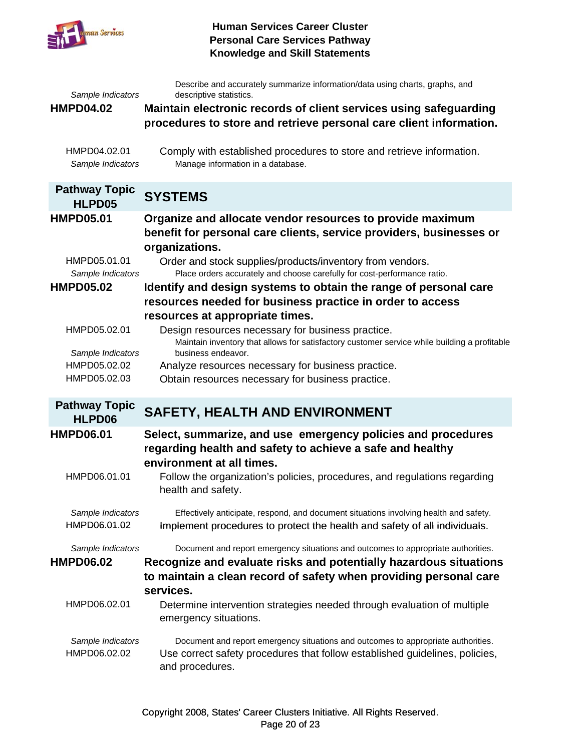

| Sample Indicators<br><b>HMPD04.02</b>                                     | Describe and accurately summarize information/data using charts, graphs, and<br>descriptive statistics.<br>Maintain electronic records of client services using safeguarding                                                                                                                                                                                                       |
|---------------------------------------------------------------------------|------------------------------------------------------------------------------------------------------------------------------------------------------------------------------------------------------------------------------------------------------------------------------------------------------------------------------------------------------------------------------------|
| HMPD04.02.01<br>Sample Indicators                                         | procedures to store and retrieve personal care client information.<br>Comply with established procedures to store and retrieve information.<br>Manage information in a database.                                                                                                                                                                                                   |
| <b>Pathway Topic</b><br>HLPD05                                            | <b>SYSTEMS</b>                                                                                                                                                                                                                                                                                                                                                                     |
| <b>HMPD05.01</b><br>HMPD05.01.01<br>Sample Indicators<br><b>HMPD05.02</b> | Organize and allocate vendor resources to provide maximum<br>benefit for personal care clients, service providers, businesses or<br>organizations.<br>Order and stock supplies/products/inventory from vendors.<br>Place orders accurately and choose carefully for cost-performance ratio.<br>Identify and design systems to obtain the range of personal care                    |
| HMPD05.02.01<br>Sample Indicators<br>HMPD05.02.02<br>HMPD05.02.03         | resources needed for business practice in order to access<br>resources at appropriate times.<br>Design resources necessary for business practice.<br>Maintain inventory that allows for satisfactory customer service while building a profitable<br>business endeavor.<br>Analyze resources necessary for business practice.<br>Obtain resources necessary for business practice. |
| <b>Pathway Topic</b><br>HLPD06                                            | <b>SAFETY, HEALTH AND ENVIRONMENT</b>                                                                                                                                                                                                                                                                                                                                              |
| <b>HMPD06.01</b><br>HMPD06.01.01                                          | Select, summarize, and use emergency policies and procedures<br>regarding health and safety to achieve a safe and healthy<br>environment at all times.<br>Follow the organization's policies, procedures, and regulations regarding<br>health and safety.                                                                                                                          |
| Sample Indicators<br>HMPD06.01.02                                         | Effectively anticipate, respond, and document situations involving health and safety.<br>Implement procedures to protect the health and safety of all individuals.                                                                                                                                                                                                                 |
| Sample Indicators<br><b>HMPD06.02</b>                                     | Document and report emergency situations and outcomes to appropriate authorities.<br>Recognize and evaluate risks and potentially hazardous situations<br>to maintain a clean record of safety when providing personal care<br>services.                                                                                                                                           |
| HMPD06.02.01<br>Sample Indicators<br>HMPD06.02.02                         | Determine intervention strategies needed through evaluation of multiple<br>emergency situations.<br>Document and report emergency situations and outcomes to appropriate authorities.<br>Use correct safety procedures that follow established guidelines, policies,<br>and procedures.                                                                                            |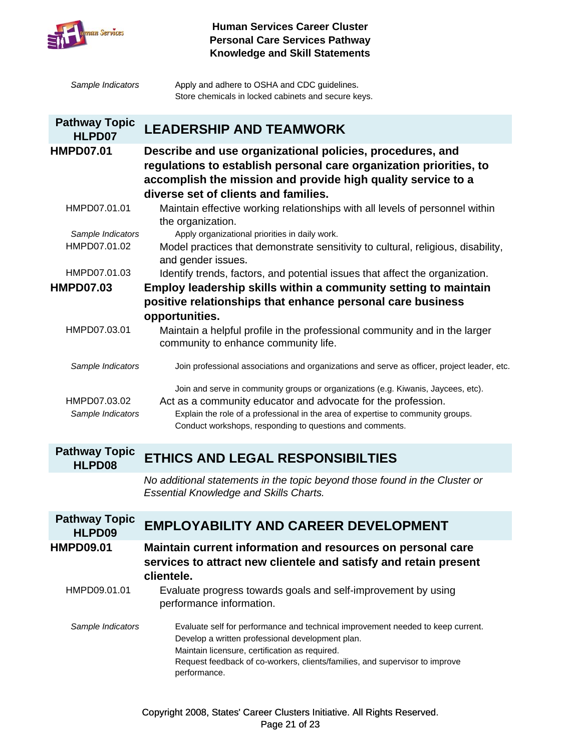

| Sample Indicators                 | Apply and adhere to OSHA and CDC guidelines.<br>Store chemicals in locked cabinets and secure keys.                                                                                                                                                                                               |
|-----------------------------------|---------------------------------------------------------------------------------------------------------------------------------------------------------------------------------------------------------------------------------------------------------------------------------------------------|
| <b>Pathway Topic</b><br>HLPD07    | <b>LEADERSHIP AND TEAMWORK</b>                                                                                                                                                                                                                                                                    |
| <b>HMPD07.01</b>                  | Describe and use organizational policies, procedures, and<br>regulations to establish personal care organization priorities, to<br>accomplish the mission and provide high quality service to a<br>diverse set of clients and families.                                                           |
| HMPD07.01.01                      | Maintain effective working relationships with all levels of personnel within<br>the organization.                                                                                                                                                                                                 |
| Sample Indicators<br>HMPD07.01.02 | Apply organizational priorities in daily work.<br>Model practices that demonstrate sensitivity to cultural, religious, disability,<br>and gender issues.                                                                                                                                          |
| HMPD07.01.03                      | Identify trends, factors, and potential issues that affect the organization.                                                                                                                                                                                                                      |
| <b>HMPD07.03</b>                  | Employ leadership skills within a community setting to maintain                                                                                                                                                                                                                                   |
|                                   | positive relationships that enhance personal care business                                                                                                                                                                                                                                        |
|                                   | opportunities.                                                                                                                                                                                                                                                                                    |
| HMPD07.03.01                      | Maintain a helpful profile in the professional community and in the larger<br>community to enhance community life.                                                                                                                                                                                |
| Sample Indicators                 | Join professional associations and organizations and serve as officer, project leader, etc.                                                                                                                                                                                                       |
| HMPD07.03.02<br>Sample Indicators | Join and serve in community groups or organizations (e.g. Kiwanis, Jaycees, etc).<br>Act as a community educator and advocate for the profession.<br>Explain the role of a professional in the area of expertise to community groups.<br>Conduct workshops, responding to questions and comments. |
| <b>Pathway Topic</b><br>HLPD08    | ETHICS AND LEGAL RESPONSIBILTIES                                                                                                                                                                                                                                                                  |
|                                   | No additional statements in the topic beyond those found in the Cluster or<br><b>Essential Knowledge and Skills Charts.</b>                                                                                                                                                                       |

| <b>Pathway Topic</b><br>HLPD09 | <b>EMPLOYABILITY AND CAREER DEVELOPMENT</b>                                                                                                                                                                                                                                          |
|--------------------------------|--------------------------------------------------------------------------------------------------------------------------------------------------------------------------------------------------------------------------------------------------------------------------------------|
| <b>HMPD09.01</b>               | Maintain current information and resources on personal care<br>services to attract new clientele and satisfy and retain present<br>clientele.                                                                                                                                        |
| HMPD09.01.01                   | Evaluate progress towards goals and self-improvement by using<br>performance information.                                                                                                                                                                                            |
| Sample Indicators              | Evaluate self for performance and technical improvement needed to keep current.<br>Develop a written professional development plan.<br>Maintain licensure, certification as required.<br>Request feedback of co-workers, clients/families, and supervisor to improve<br>performance. |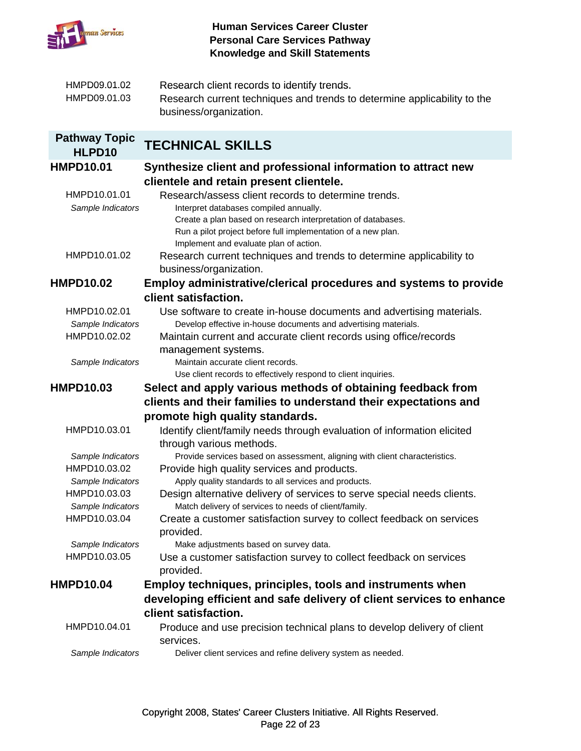

| HMPD09.01.02 | Research client records to identify trends.                              |
|--------------|--------------------------------------------------------------------------|
| HMPD09.01.03 | Research current techniques and trends to determine applicability to the |
|              | business/organization.                                                   |

# **Pathway Topic HLPD10 TECHNICAL SKILLS**

| <b>HMPD10.01</b>  | Synthesize client and professional information to attract new                                          |
|-------------------|--------------------------------------------------------------------------------------------------------|
|                   | clientele and retain present clientele.                                                                |
| HMPD10.01.01      | Research/assess client records to determine trends.                                                    |
| Sample Indicators | Interpret databases compiled annually.<br>Create a plan based on research interpretation of databases. |
|                   | Run a pilot project before full implementation of a new plan.                                          |
|                   | Implement and evaluate plan of action.                                                                 |
| HMPD10.01.02      | Research current techniques and trends to determine applicability to                                   |
|                   | business/organization.                                                                                 |
| <b>HMPD10.02</b>  | Employ administrative/clerical procedures and systems to provide                                       |
|                   | client satisfaction.                                                                                   |
| HMPD10.02.01      | Use software to create in-house documents and advertising materials.                                   |
| Sample Indicators | Develop effective in-house documents and advertising materials.                                        |
| HMPD10.02.02      | Maintain current and accurate client records using office/records                                      |
|                   | management systems.                                                                                    |
| Sample Indicators | Maintain accurate client records.                                                                      |
|                   | Use client records to effectively respond to client inquiries.                                         |
| <b>HMPD10.03</b>  | Select and apply various methods of obtaining feedback from                                            |
|                   | clients and their families to understand their expectations and                                        |
|                   | promote high quality standards.                                                                        |
| HMPD10.03.01      | Identify client/family needs through evaluation of information elicited                                |
|                   | through various methods.                                                                               |
| Sample Indicators | Provide services based on assessment, aligning with client characteristics.                            |
| HMPD10.03.02      | Provide high quality services and products.                                                            |
| Sample Indicators | Apply quality standards to all services and products.                                                  |
| HMPD10.03.03      | Design alternative delivery of services to serve special needs clients.                                |
| Sample Indicators | Match delivery of services to needs of client/family.                                                  |
| HMPD10.03.04      | Create a customer satisfaction survey to collect feedback on services                                  |
|                   | provided.                                                                                              |
| Sample Indicators | Make adjustments based on survey data.                                                                 |
| HMPD10.03.05      | Use a customer satisfaction survey to collect feedback on services                                     |
|                   | provided.                                                                                              |
| <b>HMPD10.04</b>  | <b>Employ techniques, principles, tools and instruments when</b>                                       |
|                   | developing efficient and safe delivery of client services to enhance                                   |
|                   | client satisfaction.                                                                                   |
| HMPD10.04.01      | Produce and use precision technical plans to develop delivery of client                                |
|                   | services.                                                                                              |
| Sample Indicators | Deliver client services and refine delivery system as needed.                                          |